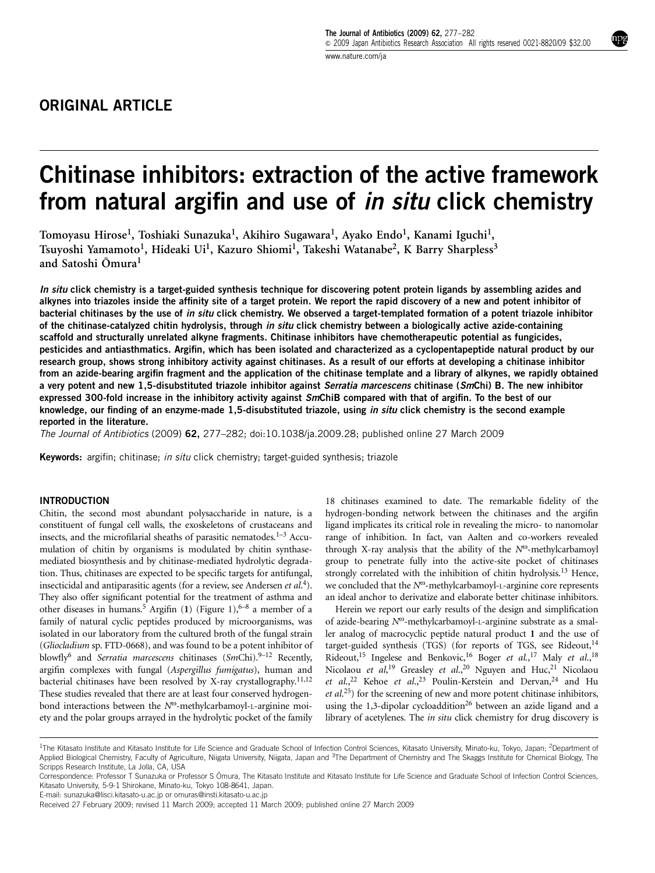# ORIGINAL ARTICLE

# Chitinase inhibitors: extraction of the active framework from natural argifin and use of *in situ* click chemistry

Tomoyasu Hirose<sup>1</sup>, Toshiaki Sunazuka<sup>1</sup>, Akihiro Sugawara<sup>1</sup>, Ayako Endo<sup>1</sup>, Kanami Iguchi<sup>1</sup>, Tsuyoshi Yamamoto<sup>1</sup>, Hideaki Ui<sup>1</sup>, Kazuro Shiomi<sup>1</sup>, Takeshi Watanabe<sup>2</sup>, K Barry Sharpless<sup>3</sup> and Satoshi Omura<sup>1</sup>

In situ click chemistry is a target-guided synthesis technique for discovering potent protein ligands by assembling azides and alkynes into triazoles inside the affinity site of a target protein. We report the rapid discovery of a new and potent inhibitor of bacterial chitinases by the use of in situ click chemistry. We observed a target-templated formation of a potent triazole inhibitor of the chitinase-catalyzed chitin hydrolysis, through in situ click chemistry between a biologically active azide-containing scaffold and structurally unrelated alkyne fragments. Chitinase inhibitors have chemotherapeutic potential as fungicides, pesticides and antiasthmatics. Argifin, which has been isolated and characterized as a cyclopentapeptide natural product by our research group, shows strong inhibitory activity against chitinases. As a result of our efforts at developing a chitinase inhibitor from an azide-bearing argifin fragment and the application of the chitinase template and a library of alkynes, we rapidly obtained a very potent and new 1,5-disubstituted triazole inhibitor against Serratia marcescens chitinase (SmChi) B. The new inhibitor expressed 300-fold increase in the inhibitory activity against SmChiB compared with that of argifin. To the best of our knowledge, our finding of an enzyme-made 1,5-disubstituted triazole, using in situ click chemistry is the second example reported in the literature.

The Journal of Antibiotics (2009) 62, 277–282; doi[:10.1038/ja.2009.28;](http://dx.doi.org/10.1038/ja.2009.28) published online 27 March 2009

Keywords: argifin; chitinase; in situ click chemistry; target-guided synthesis; triazole

# INTRODUCTION

Chitin, the second most abundant polysaccharide in nature, is a constituent of fungal cell walls, the exoskeletons of crustaceans and insects, and the microfilarial sheaths of parasitic nematodes. $1-3$  Accumulation of chitin by organisms is modulated by chitin synthasemediated biosynthesis and by chitinase-mediated hydrolytic degradation. Thus, chitinases are expected to be specific targets for antifungal, insecticidal and antiparasitic agents (for a review, see Andersen et al.<sup>4</sup>). They also offer significant potential for the treatment of asthma and other diseases in humans.<sup>5</sup> Argifin (1) ([Figure 1](#page-1-0)),<sup>[6–8](#page-4-0)</sup> a member of a family of natural cyclic peptides produced by microorganisms, was isolated in our laboratory from the cultured broth of the fungal strain (Gliocladium sp. FTD-0668), and was found to be a potent inhibitor of blowfly<sup>[6](#page-4-0)</sup> and Serratia marcescens chitinases (SmChi).<sup>[9–12](#page-4-0)</sup> Recently, argifin complexes with fungal (Aspergillus fumigatus), human and bacterial chitinases have been resolved by X-ray crystallography.<sup>[11,12](#page-4-0)</sup> These studies revealed that there are at least four conserved hydrogenbond interactions between the  $N^{\omega}$ -methylcarbamoyl-L-arginine moiety and the polar groups arrayed in the hydrolytic pocket of the family

18 chitinases examined to date. The remarkable fidelity of the hydrogen-bonding network between the chitinases and the argifin ligand implicates its critical role in revealing the micro- to nanomolar range of inhibition. In fact, van Aalten and co-workers revealed through X-ray analysis that the ability of the  $N^{\omega}$ -methylcarbamoyl group to penetrate fully into the active-site pocket of chitinases strongly correlated with the inhibition of chitin hydrolysis.<sup>[13](#page-4-0)</sup> Hence, we concluded that the  $N^{\omega}$ -methylcarbamoyl-L-arginine core represents an ideal anchor to derivatize and elaborate better chitinase inhibitors.

Herein we report our early results of the design and simplification of azide-bearing  $N^{\omega}$ -methylcarbamoyl-L-arginine substrate as a smaller analog of macrocyclic peptide natural product 1 and the use of target-guided synthesis (TGS) (for reports of TGS, see Rideout, $14$ ) Rideout,<sup>15</sup> Ingelese and Benkovic,<sup>16</sup> Boger et al.,<sup>[17](#page-4-0)</sup> Maly et al.,<sup>[18](#page-5-0)</sup> Nicolaou et al,<sup>[19](#page-5-0)</sup> Greasley et al.,<sup>[20](#page-5-0)</sup> Nguyen and Huc,<sup>21</sup> Nicolaou et al.,<sup>22</sup> Kehoe et al.,<sup>[23](#page-5-0)</sup> Poulin-Kerstein and Dervan,<sup>24</sup> and Hu et al.<sup>25</sup>) for the screening of new and more potent chitinase inhibitors, using the 1,3-dipolar cycloaddition<sup>[26](#page-5-0)</sup> between an azide ligand and a library of acetylenes. The in situ click chemistry for drug discovery is

E-mail: [sunazuka@lisci.kitasato-u.ac.jp](mailto:sunazuka@lisci.kitasato-u.ac.jp) or [omuras@insti.kitasato-u.ac.jp](mailto:omuras@insti.kitasato-u.ac.jp)

<sup>&</sup>lt;sup>1</sup>The Kitasato Institute and Kitasato Institute for Life Science and Graduate School of Infection Control Sciences, Kitasato University, Minato-ku, Tokyo, Japan; <sup>2</sup>Department of Applied Biological Chemistry, Faculty of Agriculture, Niigata University, Niigata, Japan and <sup>3</sup>The Department of Chemistry and The Skaggs Institute for Chemical Biology, The Scripps Research Institute, La Jolla, CA, USA

Correspondence: Professor T Sunazuka or Professor S Omura, The Kitasato Institute and Kitasato Institute for Life Science and Graduate School of Infection Control Sciences, Kitasato University, 5-9-1 Shirokane, Minato-ku, Tokyo 108-8641, Japan.

Received 27 February 2009; revised 11 March 2009; accepted 11 March 2009; published online 27 March 2009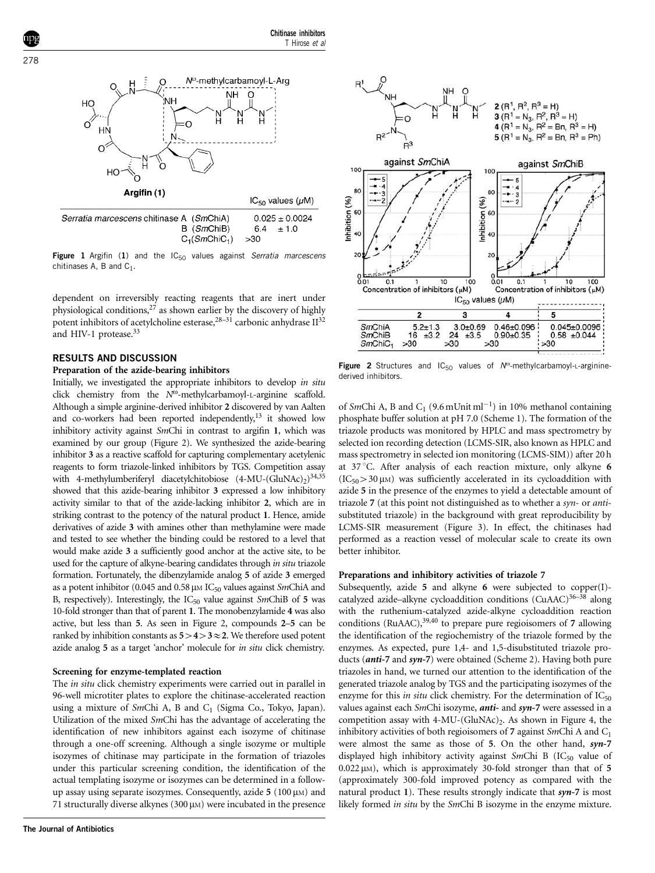<span id="page-1-0"></span>

Figure 1 Argifin (1) and the  $IC_{50}$  values against Serratia marcescens chitinases A, B and  $C_1$ .

dependent on irreversibly reacting reagents that are inert under physiological conditions,[27](#page-5-0) as shown earlier by the discovery of highly potent inhibitors of acetylcholine esterase,  $28-31$  carbonic anhydrase  $II^{32}$ and HIV-1 protease.<sup>33</sup>

# RESULTS AND DISCUSSION

## Preparation of the azide-bearing inhibitors

Initially, we investigated the appropriate inhibitors to develop in situ click chemistry from the  $N^{\omega}$ -methylcarbamoyl-L-arginine scaffold. Although a simple arginine-derived inhibitor 2 discovered by van Aalten and co-workers had been reported independently, $13$  it showed low inhibitory activity against SmChi in contrast to argifin 1, which was examined by our group (Figure 2). We synthesized the azide-bearing inhibitor 3 as a reactive scaffold for capturing complementary acetylenic reagents to form triazole-linked inhibitors by TGS. Competition assay with 4-methylumberiferyl diacetylchitobiose  $(4-MU-(GluNAc))^{34,35}$ showed that this azide-bearing inhibitor 3 expressed a low inhibitory activity similar to that of the azide-lacking inhibitor 2, which are in striking contrast to the potency of the natural product 1. Hence, amide derivatives of azide 3 with amines other than methylamine were made and tested to see whether the binding could be restored to a level that would make azide 3 a sufficiently good anchor at the active site, to be used for the capture of alkyne-bearing candidates through in situ triazole formation. Fortunately, the dibenzylamide analog 5 of azide 3 emerged as a potent inhibitor (0.045 and 0.58  $\mu$ M IC<sub>50</sub> values against SmChiA and B, respectively). Interestingly, the  $IC_{50}$  value against SmChiB of 5 was 10-fold stronger than that of parent 1. The monobenzylamide 4 was also active, but less than 5. As seen in Figure 2, compounds 2–5 can be ranked by inhibition constants as  $5>4>3\approx 2$ . We therefore used potent azide analog 5 as a target 'anchor' molecule for in situ click chemistry.

#### Screening for enzyme-templated reaction

The in situ click chemistry experiments were carried out in parallel in 96-well microtiter plates to explore the chitinase-accelerated reaction using a mixture of SmChi A, B and  $C_1$  (Sigma Co., Tokyo, Japan). Utilization of the mixed SmChi has the advantage of accelerating the identification of new inhibitors against each isozyme of chitinase through a one-off screening. Although a single isozyme or multiple isozymes of chitinase may participate in the formation of triazoles under this particular screening condition, the identification of the actual templating isozyme or isozymes can be determined in a followup assay using separate isozymes. Consequently, azide  $5(100 \,\mu)$  and 71 structurally diverse alkynes  $(300 \,\mu\text{m})$  were incubated in the presence



Figure 2 Structures and  $IC_{50}$  values of  $N^{\omega}$ -methylcarbamoyl-L-argininederived inhibitors.

of SmChi A, B and C<sub>1</sub> (9.6 mUnit ml<sup>-1</sup>) in 10% methanol containing phosphate buffer solution at pH 7.0 [\(Scheme 1\)](#page-2-0). The formation of the triazole products was monitored by HPLC and mass spectrometry by selected ion recording detection (LCMS-SIR, also known as HPLC and mass spectrometry in selected ion monitoring (LCMS-SIM)) after 20 h at 37 °C. After analysis of each reaction mixture, only alkyne 6  $(IC_{50} > 30 \mu)$  was sufficiently accelerated in its cycloaddition with azide 5 in the presence of the enzymes to yield a detectable amount of triazole 7 (at this point not distinguished as to whether a syn- or antisubstituted triazole) in the background with great reproducibility by LCMS-SIR measurement [\(Figure 3\)](#page-2-0). In effect, the chitinases had performed as a reaction vessel of molecular scale to create its own better inhibitor.

#### Preparations and inhibitory activities of triazole 7

Subsequently, azide 5 and alkyne 6 were subjected to copper(I) catalyzed azide-alkyne cycloaddition conditions (CuAAC)<sup>36-38</sup> along with the ruthenium-catalyzed azide-alkyne cycloaddition reaction conditions (RuAAC),  $39,40$  to prepare pure regioisomers of 7 allowing the identification of the regiochemistry of the triazole formed by the enzymes. As expected, pure 1,4- and 1,5-disubstituted triazole products (**anti-7** and **syn-7**) were obtained [\(Scheme 2](#page-2-0)). Having both pure triazoles in hand, we turned our attention to the identification of the generated triazole analog by TGS and the participating isozymes of the enzyme for this *in situ* click chemistry. For the determination of  $IC_{50}$ values against each *SmChi* isozyme, **anti-** and **syn-7** were assessed in a competition assay with  $4-MU-(GluNAC)$ . As shown in [Figure 4,](#page-2-0) the inhibitory activities of both regioisomers of 7 against  $SmChi$  A and  $C_1$ were almost the same as those of 5. On the other hand, syn-7 displayed high inhibitory activity against SmChi B  $(IC_{50}$  value of  $0.022 \mu M$ ), which is approximately 30-fold stronger than that of 5 (approximately 300-fold improved potency as compared with the natural product 1). These results strongly indicate that  $syn-7$  is most likely formed in situ by the SmChi B isozyme in the enzyme mixture.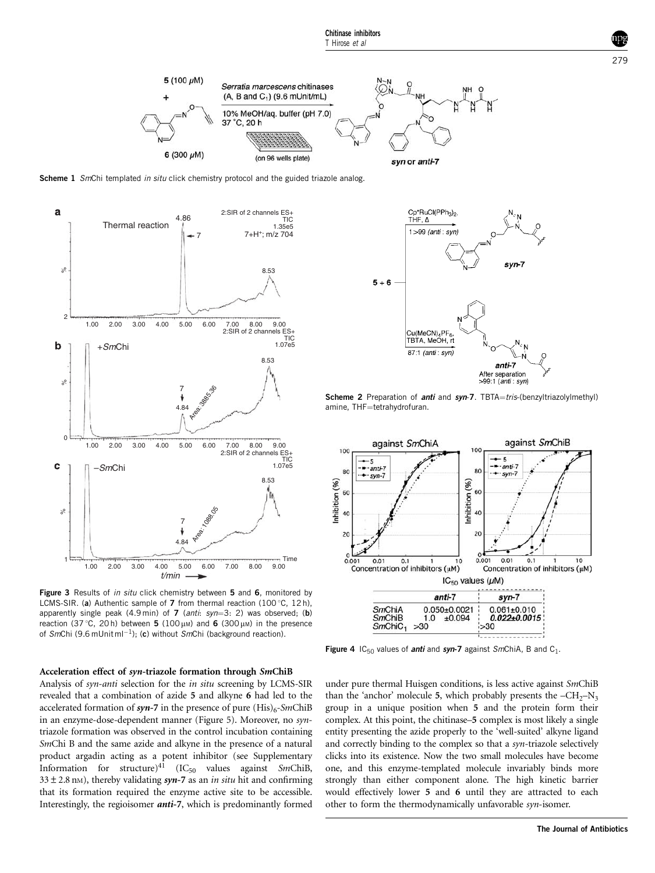<span id="page-2-0"></span>

Scheme 1 SmChi templated in situ click chemistry protocol and the guided triazole analog.



Figure 3 Results of in situ click chemistry between 5 and 6, monitored by LCMS-SIR. (a) Authentic sample of  $7$  from thermal reaction (100 $^{\circ}$ C. 12 h). apparently single peak  $(4.9 \text{ min})$  of 7  $(anti: syn=3: 2)$  was observed; (b) reaction (37 °C, 20h) between 5 (100  $\mu$ m) and 6 (300  $\mu$ m) in the presence of SmChi (9.6 mUnitml<sup>-1</sup>); (c) without SmChi (background reaction).

#### Acceleration effect of syn-triazole formation through SmChiB

Analysis of syn-anti selection for the in situ screening by LCMS-SIR revealed that a combination of azide 5 and alkyne 6 had led to the accelerated formation of syn-7 in the presence of pure  $(His)_{6}$ -SmChiB in an enzyme-dose-dependent manner ([Figure 5](#page-3-0)). Moreover, no syntriazole formation was observed in the control incubation containing SmChi B and the same azide and alkyne in the presence of a natural product argadin acting as a potent inhibitor (see Supplementary Information for structure)<sup>[41](#page-5-0)</sup> (IC<sub>50</sub> values against SmChiB,  $33 \pm 2.8$  nm), thereby validating syn-7 as an in situ hit and confirming that its formation required the enzyme active site to be accessible. Interestingly, the regioisomer anti-7, which is predominantly formed



Scheme 2 Preparation of *anti* and syn-7. TBTA=tris-(benzyltriazolylmethyl) amine, THF=tetrahydrofuran.



Figure 4  $IC_{50}$  values of *anti* and syn-7 against SmChiA, B and C<sub>1</sub>.

under pure thermal Huisgen conditions, is less active against SmChiB than the 'anchor' molecule 5, which probably presents the  $-CH_2-N_3$ group in a unique position when 5 and the protein form their complex. At this point, the chitinase–5 complex is most likely a single entity presenting the azide properly to the 'well-suited' alkyne ligand and correctly binding to the complex so that a syn-triazole selectively clicks into its existence. Now the two small molecules have become one, and this enzyme-templated molecule invariably binds more strongly than either component alone. The high kinetic barrier would effectively lower 5 and 6 until they are attracted to each other to form the thermodynamically unfavorable syn-isomer.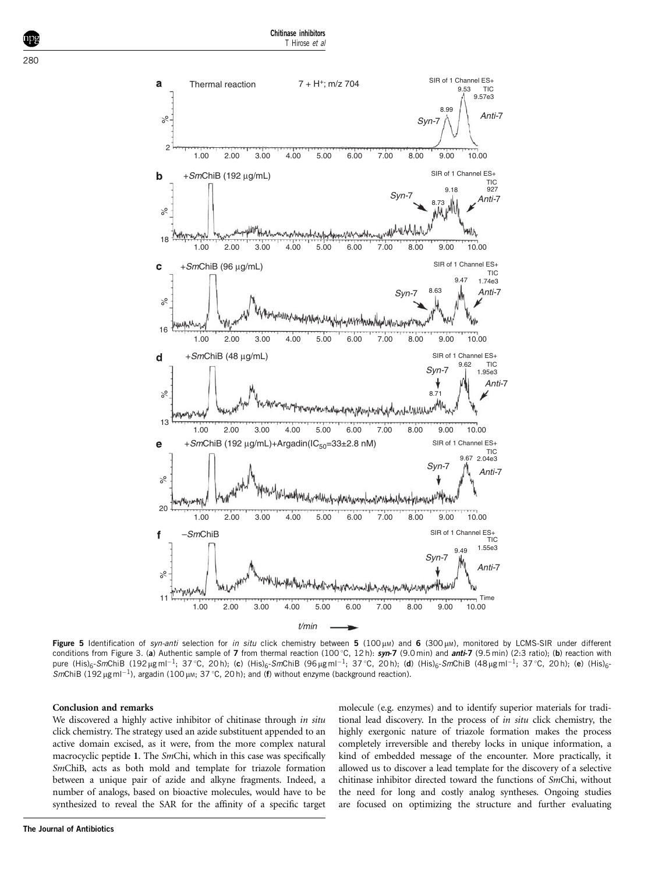<span id="page-3-0"></span>

Figure 5 Identification of syn-anti selection for in situ click chemistry between 5 (100  $\mu$ M) and 6 (300  $\mu$ M), monitored by LCMS-SIR under different conditions from [Figure 3](#page-2-0). (a) Authentic sample of 7 from thermal reaction (100 °C, 12h):  $syn-7$  (9.0min) and anti-7 (9.5min) (2:3 ratio); (b) reaction with pure (His)<sub>6</sub>-SmChiB (192µgml<sup>-1</sup>; 37 °C, 20 h); (c) (His)<sub>6</sub>-SmChiB (96µgml<sup>-1</sup>; 37 °C, 20 h); (d) (His)<sub>6</sub>-SmChiB (48µgml<sup>-1</sup>; 37 °C, 20 h); (e) (His)<sub>6</sub>-SmChiB (192  $\mu$ g ml<sup>-1</sup>), argadin (100  $\mu$ m; 37 °C, 20 h); and (f) without enzyme (background reaction).

#### Conclusion and remarks

We discovered a highly active inhibitor of chitinase through in situ click chemistry. The strategy used an azide substituent appended to an active domain excised, as it were, from the more complex natural macrocyclic peptide 1. The SmChi, which in this case was specifically SmChiB, acts as both mold and template for triazole formation between a unique pair of azide and alkyne fragments. Indeed, a number of analogs, based on bioactive molecules, would have to be synthesized to reveal the SAR for the affinity of a specific target molecule (e.g. enzymes) and to identify superior materials for traditional lead discovery. In the process of in situ click chemistry, the highly exergonic nature of triazole formation makes the process completely irreversible and thereby locks in unique information, a kind of embedded message of the encounter. More practically, it allowed us to discover a lead template for the discovery of a selective chitinase inhibitor directed toward the functions of SmChi, without the need for long and costly analog syntheses. Ongoing studies are focused on optimizing the structure and further evaluating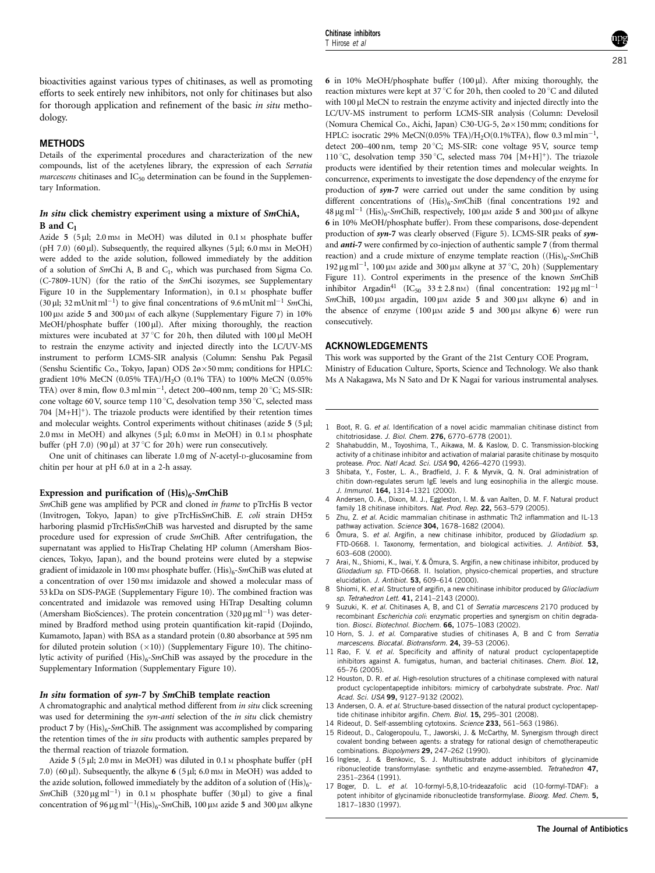<span id="page-4-0"></span>bioactivities against various types of chitinases, as well as promoting efforts to seek entirely new inhibitors, not only for chitinases but also for thorough application and refinement of the basic in situ methodology.

# METHODS

Details of the experimental procedures and characterization of the new compounds, list of the acetylenes library, the expression of each Serratia marcescens chitinases and  $IC_{50}$  determination can be found in the Supplementary Information.

### In situ click chemistry experiment using a mixture of SmChiA,  $B$  and  $C_1$

Azide 5 (5 µl; 2.0 mm in MeOH) was diluted in 0.1 m phosphate buffer (pH 7.0) (60  $\mu$ l). Subsequently, the required alkynes (5  $\mu$ l; 6.0 mm in MeOH) were added to the azide solution, followed immediately by the addition of a solution of  $SmChi$  A, B and  $C_1$ , which was purchased from Sigma Co. (C-7809-1UN) (for the ratio of the SmChi isozymes, see Supplementary Figure 10 in the Supplementary Information), in  $0.1$  M phosphate buffer (30 µl; 32 mUnit ml<sup>-1</sup>) to give final concentrations of 9.6 mUnit ml<sup>-1</sup> SmChi, 100 μm azide 5 and 300 μm of each alkyne (Supplementary Figure 7) in 10% MeOH/phosphate buffer  $(100 \,\mu l)$ . After mixing thoroughly, the reaction mixtures were incubated at 37 °C for 20 h, then diluted with 100  $\mu$ l MeOH to restrain the enzyme activity and injected directly into the LC/UV-MS instrument to perform LCMS-SIR analysis (Column: Senshu Pak Pegasil (Senshu Scientific Co., Tokyo, Japan) ODS 2ø×50 mm; conditions for HPLC: gradient 10% MeCN (0.05% TFA)/H2O (0.1% TFA) to 100% MeCN (0.05% TFA) over 8 min, flow  $0.3 \text{ ml min}^{-1}$ , detect 200–400 nm, temp 20 °C; MS-SIR: cone voltage 60 V, source temp 110 °C, desolvation temp 350 °C, selected mass 704  $[M+H]^+$ ). The triazole products were identified by their retention times and molecular weights. Control experiments without chitinases (azide  $5(5 \mu k)$ ;  $2.0 \text{ mm}$  in MeOH) and alkynes (5 µl; 6.0 mm in MeOH) in 0.1 m phosphate buffer (pH 7.0) (90  $\mu$ l) at 37 °C for 20 h) were run consecutively.

One unit of chitinases can liberate 1.0 mg of N-acetyl-D-glucosamine from chitin per hour at pH 6.0 at in a 2-h assay.

#### Expression and purification of  $(His)_{6}$ -SmChiB

SmChiB gene was amplified by PCR and cloned in frame to pTrcHis B vector (Invitrogen, Tokyo, Japan) to give pTrcHisSmChiB. E. coli strain DH5a harboring plasmid pTrcHisSmChiB was harvested and disrupted by the same procedure used for expression of crude SmChiB. After centrifugation, the supernatant was applied to HisTrap Chelating HP column (Amersham Biosciences, Tokyo, Japan), and the bound proteins were eluted by a stepwise gradient of imidazole in 100 mm phosphate buffer.  $(His)_{6}$ -SmChiB was eluted at a concentration of over 150 mM imidazole and showed a molecular mass of 53 kDa on SDS-PAGE (Supplementary Figure 10). The combined fraction was concentrated and imidazole was removed using HiTrap Desalting column (Amersham BioSciences). The protein concentration  $(320 \,\text{\upmu g\,ml}^{-1})$  was determined by Bradford method using protein quantification kit-rapid (Dojindo, Kumamoto, Japan) with BSA as a standard protein (0.80 absorbance at 595 nm for diluted protein solution  $(\times 10)$ ) (Supplementary Figure 10). The chitinolytic activity of purified  $(His)_{6}$ -SmChiB was assayed by the procedure in the Supplementary Information (Supplementary Figure 10).

#### In situ formation of syn-7 by SmChiB template reaction

A chromatographic and analytical method different from in situ click screening was used for determining the syn-anti selection of the in situ click chemistry product 7 by  $(His)_{6}$ -SmChiB. The assignment was accomplished by comparing the retention times of the in situ products with authentic samples prepared by the thermal reaction of triazole formation.

Azide  $5$  ( $5 \mu$ l; 2.0 mm in MeOH) was diluted in 0.1 m phosphate buffer ( $pH$ 7.0) (60  $\mu$ l). Subsequently, the alkyne 6 (5  $\mu$ l; 6.0 mm in MeOH) was added to the azide solution, followed immediately by the additon of a solution of  $(His)_{6-}$ SmChiB  $(320 \,\mu g \,\text{ml}^{-1})$  in 0.1 M phosphate buffer  $(30 \,\mu l)$  to give a final concentration of 96  $\mu$ g ml<sup>-1</sup>(His)<sub>6</sub>-SmChiB, 100  $\mu$ m azide 5 and 300  $\mu$ m alkyne

6 in 10% MeOH/phosphate buffer  $(100 \,\mu l)$ . After mixing thoroughly, the reaction mixtures were kept at 37 °C for 20 h, then cooled to 20 °C and diluted with 100 µl MeCN to restrain the enzyme activity and injected directly into the LC/UV-MS instrument to perform LCMS-SIR analysis (Column: Develosil (Nomura Chemical Co., Aichi, Japan) C30-UG-5,  $2\omega \times 150$  mm; conditions for HPLC: isocratic 29% MeCN(0.05% TFA)/H<sub>2</sub>O(0.1%TFA), flow 0.3 ml min<sup>-1</sup>, detect 200-400 nm, temp 20 °C; MS-SIR: cone voltage 95 V, source temp 110 °C, desolvation temp 350 °C, selected mass 704  $[M+H]^+$ ). The triazole products were identified by their retention times and molecular weights. In concurrence, experiments to investigate the dose dependency of the enzyme for production of syn-7 were carried out under the same condition by using different concentrations of  $(His)_6$ -SmChiB (final concentrations 192 and  $48 \,\mu g \,\text{ml}^{-1}$  (His)<sub>6</sub>-SmChiB, respectively, 100  $\mu$ m azide 5 and 300  $\mu$ m of alkyne 6 in 10% MeOH/phosphate buffer). From these comparisons, dose-dependent production of syn-7 was clearly observed [\(Figure 5](#page-3-0)). LCMS-SIR peaks of synand anti-7 were confirmed by co-injection of authentic sample 7 (from thermal reaction) and a crude mixture of enzyme template reaction  $((His)_{6}$ -SmChiB 192 μg ml<sup>-1</sup>, 100 μm azide and 300 μm alkyne at 37 °C, 20 h) (Supplementary Figure 11). Control experiments in the presence of the known SmChiB inhibitor Argadin<sup>41</sup> (IC<sub>50</sub> 33 ± 2.8 nM) (final concentration: 192 µg ml<sup>-1</sup> SmChiB, 100  $\mu$ M argadin, 100  $\mu$ M azide 5 and 300  $\mu$ M alkyne 6) and in the absence of enzyme  $(100 \,\mu\text{m})$  azide 5 and 300  $\mu$ m alkyne 6) were run consecutively.

#### ACKNOWLEDGEMENTS

This work was supported by the Grant of the 21st Century COE Program, Ministry of Education Culture, Sports, Science and Technology. We also thank Ms A Nakagawa, Ms N Sato and Dr K Nagai for various instrumental analyses.

- 1 Boot, R. G. et al. Identification of a novel acidic mammalian chitinase distinct from chitotriosidase. J. Biol. Chem. 276, 6770–6778 (2001).
- 2 Shahabuddin, M., Toyoshima, T., Aikawa, M. & Kaslow, D. C. Transmission-blocking activity of a chitinase inhibitor and activation of malarial parasite chitinase by mosquito protease. Proc. Natl Acad. Sci. USA 90, 4266–4270 (1993).
- 3 Shibata, Y., Foster, L. A., Bradfield, J. F. & Myrvik, Q. N. Oral administration of chitin down-regulates serum IgE levels and lung eosinophilia in the allergic mouse. J. Immunol. 164, 1314–1321 (2000).
- 4 Andersen, O. A., Dixon, M. J., Eggleston, I. M. & van Aalten, D. M. F. Natural product family 18 chitinase inhibitors. Nat. Prod. Rep. 22, 563-579 (2005).
- Zhu, Z. et al. Acidic mammalian chitinase in asthmatic Th2 inflammation and IL-13 pathway activation. Science 304, 1678-1682 (2004).
- 6 Omura, S. et al. Argifin, a new chitinase inhibitor, produced by Gliodadium sp. FTD-0668. I. Taxonomy, fermentation, and biological activities. J. Antibiot. 53, 603–608 (2000).
- Arai, N., Shiomi, K., Iwai, Y. & Ōmura, S. Argifin, a new chitinase inhibitor, produced by Gliodadium sp. FTD-0668. II. Isolation, physico-chemical properties, and structure elucidation. *J. Antibiot*. 53, 609–614 (2000).
- 8 Shiomi, K. et al. Structure of argifin, a new chitinase inhibitor produced by Gliocladium sp. Tetrahedron Lett. 41, 2141–2143 (2000).
- 9 Suzuki, K. et al. Chitinases A, B, and C1 of Serratia marcescens 2170 produced by recombinant Escherichia coli: enzymatic properties and synergism on chitin degradation. Biosci. Biotechnol. Biochem. 66, 1075–1083 (2002).
- 10 Horn, S. J. et al. Comparative studies of chitinases A, B and C from Serratia marcescens. Biocatal. Biotransform. 24, 39–53 (2006).
- 11 Rao, F. V. et al. Specificity and affinity of natural product cyclopentapeptide inhibitors against A. fumigatus, human, and bacterial chitinases. Chem. Biol. 12, 65–76 (2005).
- 12 Houston, D. R. et al. High-resolution structures of a chitinase complexed with natural product cyclopentapeptide inhibitors: mimicry of carbohydrate substrate. Proc. Natl Acad. Sci. USA 99, 9127–9132 (2002).
- 13 Andersen, O. A. et al. Structure-based dissection of the natural product cyclopentapeptide chitinase inhibitor argifin. Chem. Biol. 15, 295-301 (2008).
- 14 Rideout, D. Self-assembling cytotoxins. Science 233, 561–563 (1986).
- 15 Rideout, D., Calogeropoulu, T., Jaworski, J. & McCarthy, M. Synergism through direct covalent bonding between agents: a strategy for rational design of chemotherapeutic combinations. Biopolymers 29, 247–262 (1990).
- 16 Inglese, J. & Benkovic, S. J. Multisubstrate adduct inhibitors of glycinamide ribonucleotide transformylase: synthetic and enzyme-assembled. Tetrahedron 47, 2351–2364 (1991).
- 17 Boger, D. L. et al. 10-formyl-5,8,10-trideazafolic acid (10-formyl-TDAF): a potent inhibitor of glycinamide ribonucleotide transformylase. Bioorg. Med. Chem. 5, 1817–1830 (1997).